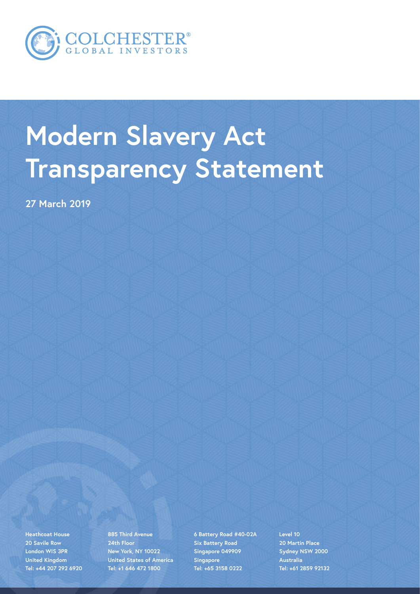

## **Modern Slavery Act Transparency Statement**

**27 March 2019**

**Heathcoat House 20 Savile Row London WIS 3PR United Kingdom Tel: +44 207 292 6920**

**885 Third Avenue 24th Floor New York, NY 10022 United States of America Tel: +1 646 472 1800**

**6 Battery Road #40-02A Six Battery Road Singapore 049909 Singapore Tel: +65 3158 0222**

**Level 10 20 Martin Place Sydney NSW 2000 Australia Tel: +61 2859 92132**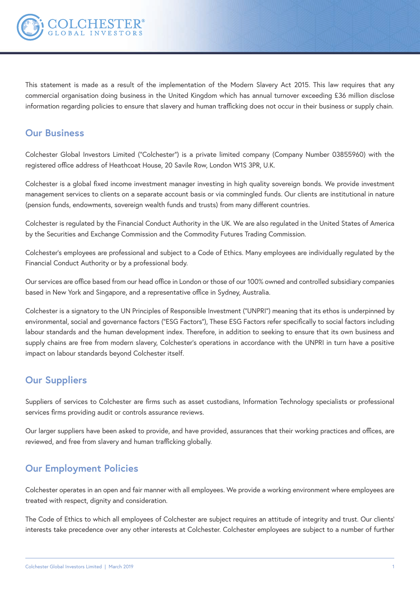

This statement is made as a result of the implementation of the Modern Slavery Act 2015. This law requires that any commercial organisation doing business in the United Kingdom which has annual turnover exceeding £36 million disclose information regarding policies to ensure that slavery and human trafficking does not occur in their business or supply chain.

## **Our Business**

Colchester Global Investors Limited ("Colchester") is a private limited company (Company Number 03855960) with the registered office address of Heathcoat House, 20 Savile Row, London W1S 3PR, U.K.

Colchester is a global fixed income investment manager investing in high quality sovereign bonds. We provide investment management services to clients on a separate account basis or via commingled funds. Our clients are institutional in nature (pension funds, endowments, sovereign wealth funds and trusts) from many different countries.

Colchester is regulated by the Financial Conduct Authority in the UK. We are also regulated in the United States of America by the Securities and Exchange Commission and the Commodity Futures Trading Commission.

Colchester's employees are professional and subject to a Code of Ethics. Many employees are individually regulated by the Financial Conduct Authority or by a professional body.

Our services are office based from our head office in London or those of our 100% owned and controlled subsidiary companies based in New York and Singapore, and a representative office in Sydney, Australia.

Colchester is a signatory to the UN Principles of Responsible Investment ("UNPRI") meaning that its ethos is underpinned by environmental, social and governance factors ("ESG Factors"), These ESG Factors refer specifically to social factors including labour standards and the human development index. Therefore, in addition to seeking to ensure that its own business and supply chains are free from modern slavery, Colchester's operations in accordance with the UNPRI in turn have a positive impact on labour standards beyond Colchester itself.

## **Our Suppliers**

Suppliers of services to Colchester are firms such as asset custodians, Information Technology specialists or professional services firms providing audit or controls assurance reviews.

Our larger suppliers have been asked to provide, and have provided, assurances that their working practices and offices, are reviewed, and free from slavery and human trafficking globally.

## **Our Employment Policies**

Colchester operates in an open and fair manner with all employees. We provide a working environment where employees are treated with respect, dignity and consideration.

The Code of Ethics to which all employees of Colchester are subject requires an attitude of integrity and trust. Our clients' interests take precedence over any other interests at Colchester. Colchester employees are subject to a number of further